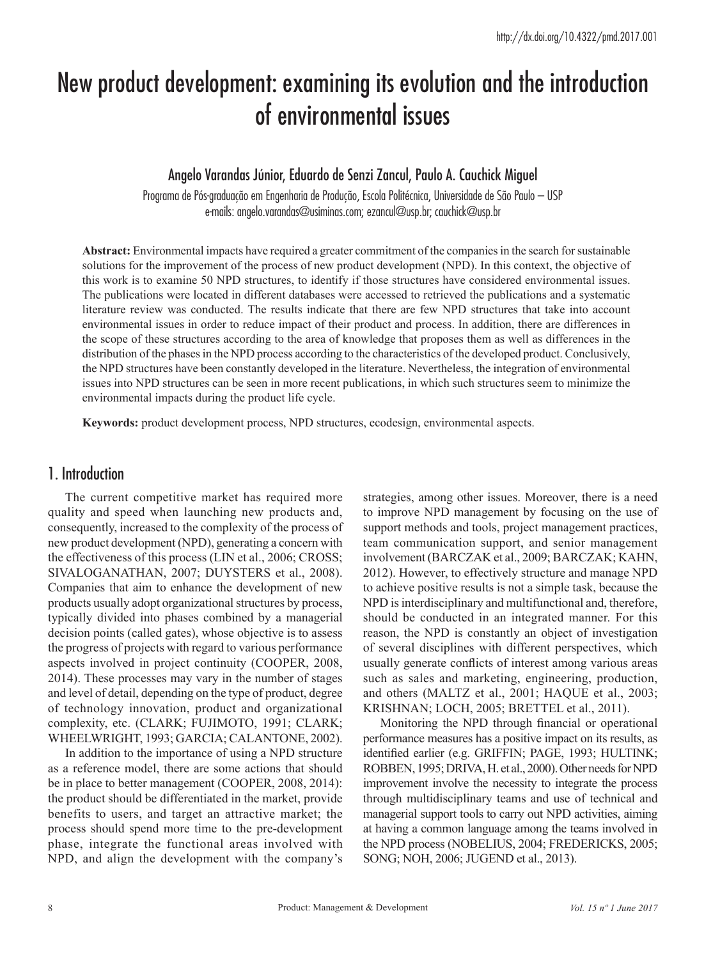# New product development: examining its evolution and the introduction of environmental issues

## Angelo Varandas Júnior, Eduardo de Senzi Zancul, Paulo A. Cauchick Miguel

Programa de Pós-graduação em Engenharia de Produção, Escola Politécnica, Universidade de São Paulo – USP e-mails: angelo.varandas@usiminas.com; ezancul@usp.br; cauchick@usp.br

**Abstract:** Environmental impacts have required a greater commitment of the companies in the search for sustainable solutions for the improvement of the process of new product development (NPD). In this context, the objective of this work is to examine 50 NPD structures, to identify if those structures have considered environmental issues. The publications were located in different databases were accessed to retrieved the publications and a systematic literature review was conducted. The results indicate that there are few NPD structures that take into account environmental issues in order to reduce impact of their product and process. In addition, there are differences in the scope of these structures according to the area of knowledge that proposes them as well as differences in the distribution of the phases in the NPD process according to the characteristics of the developed product. Conclusively, the NPD structures have been constantly developed in the literature. Nevertheless, the integration of environmental issues into NPD structures can be seen in more recent publications, in which such structures seem to minimize the environmental impacts during the product life cycle.

**Keywords:** product development process, NPD structures, ecodesign, environmental aspects.

## 1. Introduction

The current competitive market has required more quality and speed when launching new products and, consequently, increased to the complexity of the process of new product development (NPD), generating a concern with the effectiveness of this process (LIN et al., 2006; CROSS; SIVALOGANATHAN, 2007; DUYSTERS et al., 2008). Companies that aim to enhance the development of new products usually adopt organizational structures by process, typically divided into phases combined by a managerial decision points (called gates), whose objective is to assess the progress of projects with regard to various performance aspects involved in project continuity (COOPER, 2008, 2014). These processes may vary in the number of stages and level of detail, depending on the type of product, degree of technology innovation, product and organizational complexity, etc. (CLARK; FUJIMOTO, 1991; CLARK; WHEELWRIGHT, 1993; GARCIA; CALANTONE, 2002).

In addition to the importance of using a NPD structure as a reference model, there are some actions that should be in place to better management (COOPER, 2008, 2014): the product should be differentiated in the market, provide benefits to users, and target an attractive market; the process should spend more time to the pre-development phase, integrate the functional areas involved with NPD, and align the development with the company's

strategies, among other issues. Moreover, there is a need to improve NPD management by focusing on the use of support methods and tools, project management practices, team communication support, and senior management involvement (BARCZAK et al., 2009; BARCZAK; KAHN, 2012). However, to effectively structure and manage NPD to achieve positive results is not a simple task, because the NPD is interdisciplinary and multifunctional and, therefore, should be conducted in an integrated manner. For this reason, the NPD is constantly an object of investigation of several disciplines with different perspectives, which usually generate conflicts of interest among various areas such as sales and marketing, engineering, production, and others (MALTZ et al., 2001; HAQUE et al., 2003; KRISHNAN; LOCH, 2005; BRETTEL et al., 2011).

Monitoring the NPD through financial or operational performance measures has a positive impact on its results, as identified earlier (e.g. GRIFFIN; PAGE, 1993; HULTINK; ROBBEN, 1995; DRIVA, H. et al., 2000). Other needs for NPD improvement involve the necessity to integrate the process through multidisciplinary teams and use of technical and managerial support tools to carry out NPD activities, aiming at having a common language among the teams involved in the NPD process (NOBELIUS, 2004; FREDERICKS, 2005; SONG; NOH, 2006; JUGEND et al., 2013).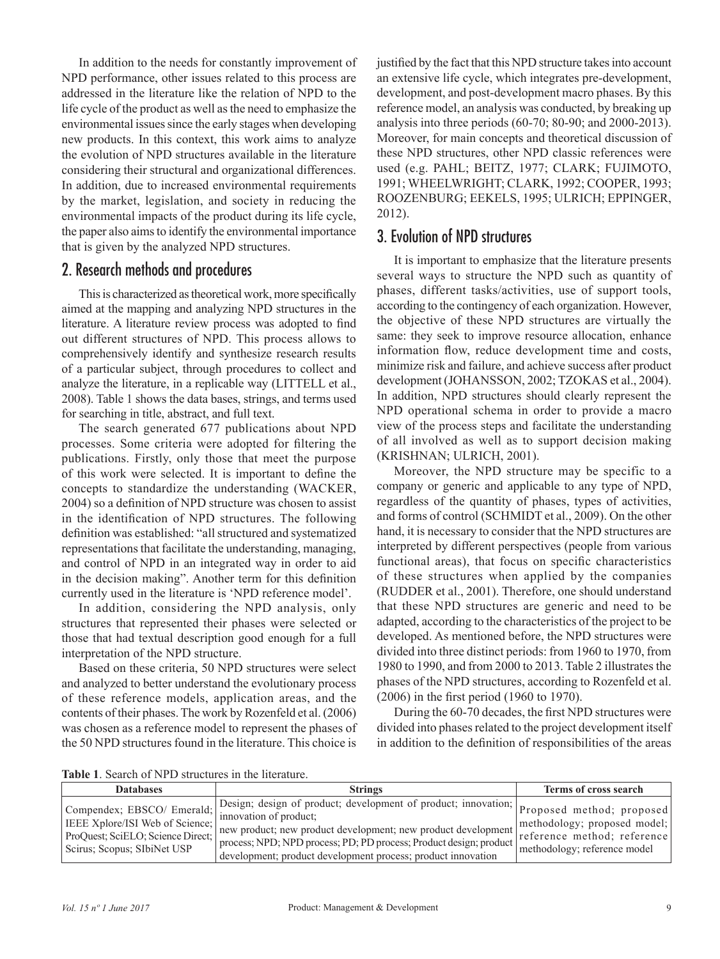In addition to the needs for constantly improvement of NPD performance, other issues related to this process are addressed in the literature like the relation of NPD to the life cycle of the product as well as the need to emphasize the environmental issues since the early stages when developing new products. In this context, this work aims to analyze the evolution of NPD structures available in the literature considering their structural and organizational differences. In addition, due to increased environmental requirements by the market, legislation, and society in reducing the environmental impacts of the product during its life cycle, the paper also aims to identify the environmental importance that is given by the analyzed NPD structures.

# 2. Research methods and procedures

This is characterized as theoretical work, more specifically aimed at the mapping and analyzing NPD structures in the literature. A literature review process was adopted to find out different structures of NPD. This process allows to comprehensively identify and synthesize research results of a particular subject, through procedures to collect and analyze the literature, in a replicable way (LITTELL et al., 2008). Table 1 shows the data bases, strings, and terms used for searching in title, abstract, and full text.

The search generated 677 publications about NPD processes. Some criteria were adopted for filtering the publications. Firstly, only those that meet the purpose of this work were selected. It is important to define the concepts to standardize the understanding (WACKER, 2004) so a definition of NPD structure was chosen to assist in the identification of NPD structures. The following definition was established: "all structured and systematized representations that facilitate the understanding, managing, and control of NPD in an integrated way in order to aid in the decision making". Another term for this definition currently used in the literature is 'NPD reference model'.

In addition, considering the NPD analysis, only structures that represented their phases were selected or those that had textual description good enough for a full interpretation of the NPD structure.

Based on these criteria, 50 NPD structures were select and analyzed to better understand the evolutionary process of these reference models, application areas, and the contents of their phases. The work by Rozenfeld et al. (2006) was chosen as a reference model to represent the phases of the 50 NPD structures found in the literature. This choice is

justified by the fact that this NPD structure takes into account an extensive life cycle, which integrates pre-development, development, and post-development macro phases. By this reference model, an analysis was conducted, by breaking up analysis into three periods (60-70; 80-90; and 2000-2013). Moreover, for main concepts and theoretical discussion of these NPD structures, other NPD classic references were used (e.g. PAHL; BEITZ, 1977; CLARK; FUJIMOTO, 1991; WHEELWRIGHT; CLARK, 1992; COOPER, 1993; ROOZENBURG; EEKELS, 1995; ULRICH; EPPINGER, 2012).

## 3. Evolution of NPD structures

It is important to emphasize that the literature presents several ways to structure the NPD such as quantity of phases, different tasks/activities, use of support tools, according to the contingency of each organization. However, the objective of these NPD structures are virtually the same: they seek to improve resource allocation, enhance information flow, reduce development time and costs, minimize risk and failure, and achieve success after product development (JOHANSSON, 2002; TZOKAS et al., 2004). In addition, NPD structures should clearly represent the NPD operational schema in order to provide a macro view of the process steps and facilitate the understanding of all involved as well as to support decision making (KRISHNAN; ULRICH, 2001).

Moreover, the NPD structure may be specific to a company or generic and applicable to any type of NPD, regardless of the quantity of phases, types of activities, and forms of control (SCHMIDT et al., 2009). On the other hand, it is necessary to consider that the NPD structures are interpreted by different perspectives (people from various functional areas), that focus on specific characteristics of these structures when applied by the companies (RUDDER et al., 2001). Therefore, one should understand that these NPD structures are generic and need to be adapted, according to the characteristics of the project to be developed. As mentioned before, the NPD structures were divided into three distinct periods: from 1960 to 1970, from 1980 to 1990, and from 2000 to 2013. Table 2 illustrates the phases of the NPD structures, according to Rozenfeld et al. (2006) in the first period (1960 to 1970).

During the 60-70 decades, the first NPD structures were divided into phases related to the project development itself in addition to the definition of responsibilities of the areas

**Table 1**. Search of NPD structures in the literature.

| <b>Databases</b>                                                                                                                                                                                                 | <b>Strings</b>                                                                                                                                                                                                                                                                                                              | <b>Terms of cross search</b>                                 |
|------------------------------------------------------------------------------------------------------------------------------------------------------------------------------------------------------------------|-----------------------------------------------------------------------------------------------------------------------------------------------------------------------------------------------------------------------------------------------------------------------------------------------------------------------------|--------------------------------------------------------------|
| Compendex; EBSCO/ Emerald; $\left  \frac{D_{\text{V31g11}}}{\text{innovation of product}} \right $<br><b>IEEE Xplore/ISI Web of Science;</b><br>ProQuest: SciELO: Science Direct:<br>Scirus; Scopus; SIbiNet USP | Design; design of product; development of product; innovation; Proposed method; proposed<br>new product; new product development; new product development<br>process; NPD; NPD process; PD; PD process; Product design; product reference method; reference<br>development; product development process; product innovation | methodology; proposed model;<br>methodology; reference model |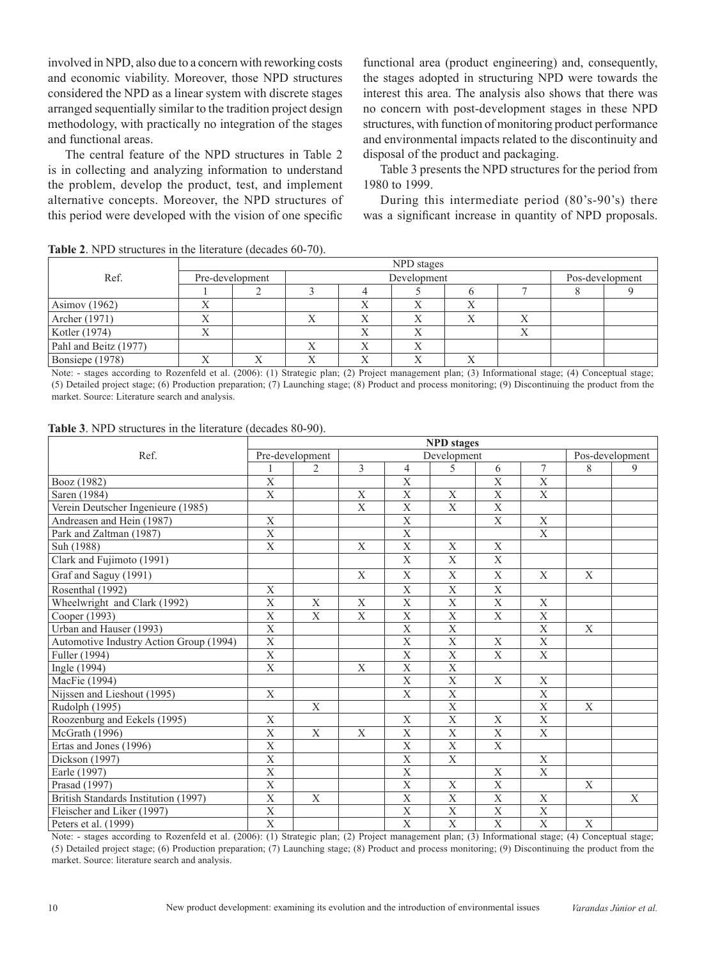involved in NPD, also due to a concern with reworking costs and economic viability. Moreover, those NPD structures considered the NPD as a linear system with discrete stages arranged sequentially similar to the tradition project design methodology, with practically no integration of the stages and functional areas.

The central feature of the NPD structures in Table 2 is in collecting and analyzing information to understand the problem, develop the product, test, and implement alternative concepts. Moreover, the NPD structures of this period were developed with the vision of one specific

functional area (product engineering) and, consequently, the stages adopted in structuring NPD were towards the interest this area. The analysis also shows that there was no concern with post-development stages in these NPD structures, with function of monitoring product performance and environmental impacts related to the discontinuity and disposal of the product and packaging.

Table 3 presents the NPD structures for the period from 1980 to 1999.

During this intermediate period (80's-90's) there was a significant increase in quantity of NPD proposals.

|                       | NPD stages      |  |   |             |                 |  |  |  |  |
|-----------------------|-----------------|--|---|-------------|-----------------|--|--|--|--|
| Ref.                  | Pre-development |  |   | Development | Pos-development |  |  |  |  |
|                       |                 |  |   |             |                 |  |  |  |  |
| Asimov (1962)         |                 |  |   |             |                 |  |  |  |  |
| Archer (1971)         |                 |  |   |             |                 |  |  |  |  |
| Kotler (1974)         | △               |  |   |             |                 |  |  |  |  |
| Pahl and Beitz (1977) |                 |  | Х |             | $\Lambda$       |  |  |  |  |
| Bonsiepe (1978)       |                 |  |   |             | л               |  |  |  |  |

**Table 2**. NPD structures in the literature (decades 60-70).

Note: - stages according to Rozenfeld et al. (2006): (1) Strategic plan; (2) Project management plan; (3) Informational stage; (4) Conceptual stage; (5) Detailed project stage; (6) Production preparation; (7) Launching stage; (8) Product and process monitoring; (9) Discontinuing the product from the market. Source: Literature search and analysis.

| Table 3. NPD structures in the literature (decades 80-90). |  |  |
|------------------------------------------------------------|--|--|
|------------------------------------------------------------|--|--|

|                                         | <b>NPD</b> stages       |                 |             |                           |                           |                           |                         |              |   |  |
|-----------------------------------------|-------------------------|-----------------|-------------|---------------------------|---------------------------|---------------------------|-------------------------|--------------|---|--|
| Ref.                                    |                         | Pre-development |             | Development               | Pos-development           |                           |                         |              |   |  |
|                                         |                         | $\overline{2}$  | 3           | 4                         | 5                         | 6                         | 7                       | 8            | 9 |  |
| Booz (1982)                             | $\overline{\mathrm{X}}$ |                 |             | $\overline{\mathrm{X}}$   |                           | $\overline{\mathrm{X}}$   | $\overline{\mathbf{X}}$ |              |   |  |
| Saren (1984)                            | $\mathbf X$             |                 | $\mathbf X$ | $\overline{X}$            | $\mathbf X$               | $\mathbf X$               | $\mathbf X$             |              |   |  |
| Verein Deutscher Ingenieure (1985)      |                         |                 | $\mathbf X$ | $\mathbf X$               | $\mathbf X$               | $\mathbf{X}$              |                         |              |   |  |
| Andreasen and Hein (1987)               | X                       |                 |             | $\overline{\mathrm{x}}$   |                           | $\overline{\mathbf{X}}$   | X                       |              |   |  |
| Park and Zaltman (1987)                 | X                       |                 |             | $\boldsymbol{\mathrm{X}}$ |                           |                           | X                       |              |   |  |
| Suh (1988)                              | X                       |                 | $\mathbf X$ | $\mathbf X$               | X                         | X                         |                         |              |   |  |
| Clark and Fujimoto (1991)               |                         |                 |             | X                         | X                         | X                         |                         |              |   |  |
| Graf and Saguy (1991)                   |                         |                 | X           | X                         | X                         | X                         | X                       | X            |   |  |
| Rosenthal (1992)                        | X                       |                 |             | $\boldsymbol{\mathrm{X}}$ | $\mathbf X$               | $\boldsymbol{\mathrm{X}}$ |                         |              |   |  |
| Wheelwright and Clark (1992)            | $\mathbf{X}$            | X               | $\mathbf X$ | $\mathbf X$               | $\boldsymbol{\mathrm{X}}$ | $\mathbf{X}$              | $\mathbf X$             |              |   |  |
| Cooper (1993)                           | $\overline{\mathrm{x}}$ | $\mathbf X$     | $\mathbf X$ | $\overline{X}$            | $\overline{\mathrm{X}}$   | $\overline{\mathbf{X}}$   | $\mathbf X$             |              |   |  |
| Urban and Hauser (1993)                 | X                       |                 |             | $\overline{X}$            | $\mathbf X$               |                           | $\mathbf{X}$            | $\mathbf{X}$ |   |  |
| Automotive Industry Action Group (1994) | $\overline{\mathrm{X}}$ |                 |             | $\mathbf X$               | $\mathbf X$               | $\mathbf X$               | $\mathbf{X}$            |              |   |  |
| Fuller (1994)                           | $\overline{\mathrm{X}}$ |                 |             | $\mathbf X$               | $\mathbf X$               | $\mathbf X$               | $\overline{X}$          |              |   |  |
| Ingle (1994)                            | X                       |                 | X           | $\mathbf X$               | $\overline{X}$            |                           |                         |              |   |  |
| MacFie (1994)                           |                         |                 |             | X                         | $\mathbf X$               | X                         | X                       |              |   |  |
| Nijssen and Lieshout (1995)             | X                       |                 |             | $\mathbf X$               | $\overline{X}$            |                           | $\mathbf X$             |              |   |  |
| Rudolph (1995)                          |                         | $\mathbf X$     |             |                           | $\mathbf X$               |                           | X                       | X            |   |  |
| Roozenburg and Eekels (1995)            | X                       |                 |             | $\mathbf X$               | $\mathbf X$               | $\mathbf X$               | $\mathbf X$             |              |   |  |
| McGrath (1996)                          | X                       | X               | X           | X                         | $\mathbf X$               | X                         | X                       |              |   |  |
| Ertas and Jones (1996)                  | $\overline{X}$          |                 |             | $\overline{\mathbf{X}}$   | $\overline{X}$            | $\overline{X}$            |                         |              |   |  |
| Dickson (1997)                          | X                       |                 |             | $\mathbf X$               | $\mathbf X$               |                           | X                       |              |   |  |
| Earle (1997)                            | $\mathbf{X}$            |                 |             | $\mathbf X$               |                           | X                         | $\mathbf X$             |              |   |  |
| Prasad (1997)                           | $\overline{\mathrm{X}}$ |                 |             | $\overline{X}$            | $\mathbf X$               | $\overline{X}$            |                         | X            |   |  |
| British Standards Institution (1997)    | $\mathbf{X}$            | X               |             | $\overline{\mathbf{X}}$   | X                         | X                         | $\mathbf{X}$            |              | X |  |
| Fleischer and Liker (1997)              | X                       |                 |             | X                         | $\mathbf X$               | $\mathbf X$               | X                       |              |   |  |
| Peters et al. (1999)                    | $\overline{\mathrm{X}}$ |                 |             | $\boldsymbol{\mathrm{X}}$ | $\boldsymbol{X}$          | $\boldsymbol{\mathrm{X}}$ | $\mathbf X$             | X            |   |  |

Note: - stages according to Rozenfeld et al. (2006): (1) Strategic plan; (2) Project management plan; (3) Informational stage; (4) Conceptual stage; (5) Detailed project stage; (6) Production preparation; (7) Launching stage; (8) Product and process monitoring; (9) Discontinuing the product from the market. Source: literature search and analysis.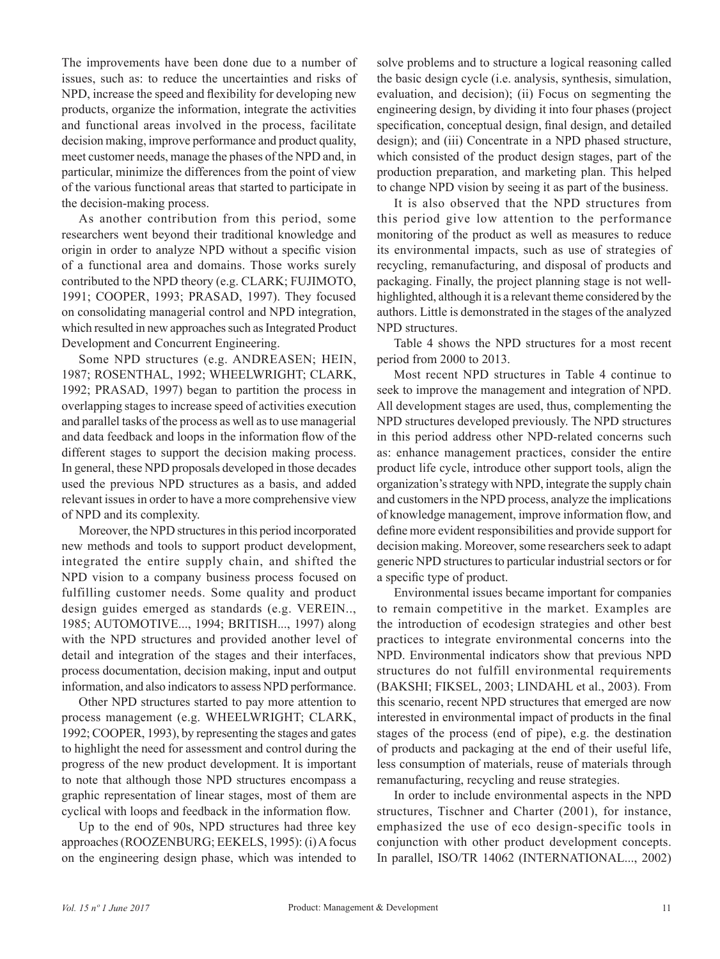The improvements have been done due to a number of issues, such as: to reduce the uncertainties and risks of NPD, increase the speed and flexibility for developing new products, organize the information, integrate the activities and functional areas involved in the process, facilitate decision making, improve performance and product quality, meet customer needs, manage the phases of the NPD and, in particular, minimize the differences from the point of view of the various functional areas that started to participate in the decision-making process.

As another contribution from this period, some researchers went beyond their traditional knowledge and origin in order to analyze NPD without a specific vision of a functional area and domains. Those works surely contributed to the NPD theory (e.g. CLARK; FUJIMOTO, 1991; COOPER, 1993; PRASAD, 1997). They focused on consolidating managerial control and NPD integration, which resulted in new approaches such as Integrated Product Development and Concurrent Engineering.

Some NPD structures (e.g. ANDREASEN; HEIN, 1987; ROSENTHAL, 1992; WHEELWRIGHT; CLARK, 1992; PRASAD, 1997) began to partition the process in overlapping stages to increase speed of activities execution and parallel tasks of the process as well as to use managerial and data feedback and loops in the information flow of the different stages to support the decision making process. In general, these NPD proposals developed in those decades used the previous NPD structures as a basis, and added relevant issues in order to have a more comprehensive view of NPD and its complexity.

Moreover, the NPD structures in this period incorporated new methods and tools to support product development, integrated the entire supply chain, and shifted the NPD vision to a company business process focused on fulfilling customer needs. Some quality and product design guides emerged as standards (e.g. VEREIN.., 1985; AUTOMOTIVE..., 1994; BRITISH..., 1997) along with the NPD structures and provided another level of detail and integration of the stages and their interfaces, process documentation, decision making, input and output information, and also indicators to assess NPD performance.

Other NPD structures started to pay more attention to process management (e.g. WHEELWRIGHT; CLARK, 1992; COOPER, 1993), by representing the stages and gates to highlight the need for assessment and control during the progress of the new product development. It is important to note that although those NPD structures encompass a graphic representation of linear stages, most of them are cyclical with loops and feedback in the information flow.

Up to the end of 90s, NPD structures had three key approaches (ROOZENBURG; EEKELS, 1995): (i) A focus on the engineering design phase, which was intended to solve problems and to structure a logical reasoning called the basic design cycle (i.e. analysis, synthesis, simulation, evaluation, and decision); (ii) Focus on segmenting the engineering design, by dividing it into four phases (project specification, conceptual design, final design, and detailed design); and (iii) Concentrate in a NPD phased structure, which consisted of the product design stages, part of the production preparation, and marketing plan. This helped to change NPD vision by seeing it as part of the business.

It is also observed that the NPD structures from this period give low attention to the performance monitoring of the product as well as measures to reduce its environmental impacts, such as use of strategies of recycling, remanufacturing, and disposal of products and packaging. Finally, the project planning stage is not wellhighlighted, although it is a relevant theme considered by the authors. Little is demonstrated in the stages of the analyzed NPD structures.

Table 4 shows the NPD structures for a most recent period from 2000 to 2013.

Most recent NPD structures in Table 4 continue to seek to improve the management and integration of NPD. All development stages are used, thus, complementing the NPD structures developed previously. The NPD structures in this period address other NPD-related concerns such as: enhance management practices, consider the entire product life cycle, introduce other support tools, align the organization's strategy with NPD, integrate the supply chain and customers in the NPD process, analyze the implications of knowledge management, improve information flow, and define more evident responsibilities and provide support for decision making. Moreover, some researchers seek to adapt generic NPD structures to particular industrial sectors or for a specific type of product.

Environmental issues became important for companies to remain competitive in the market. Examples are the introduction of ecodesign strategies and other best practices to integrate environmental concerns into the NPD. Environmental indicators show that previous NPD structures do not fulfill environmental requirements (BAKSHI; FIKSEL, 2003; LINDAHL et al., 2003). From this scenario, recent NPD structures that emerged are now interested in environmental impact of products in the final stages of the process (end of pipe), e.g. the destination of products and packaging at the end of their useful life, less consumption of materials, reuse of materials through remanufacturing, recycling and reuse strategies.

In order to include environmental aspects in the NPD structures, Tischner and Charter (2001), for instance, emphasized the use of eco design-specific tools in conjunction with other product development concepts. In parallel, ISO/TR 14062 (INTERNATIONAL..., 2002)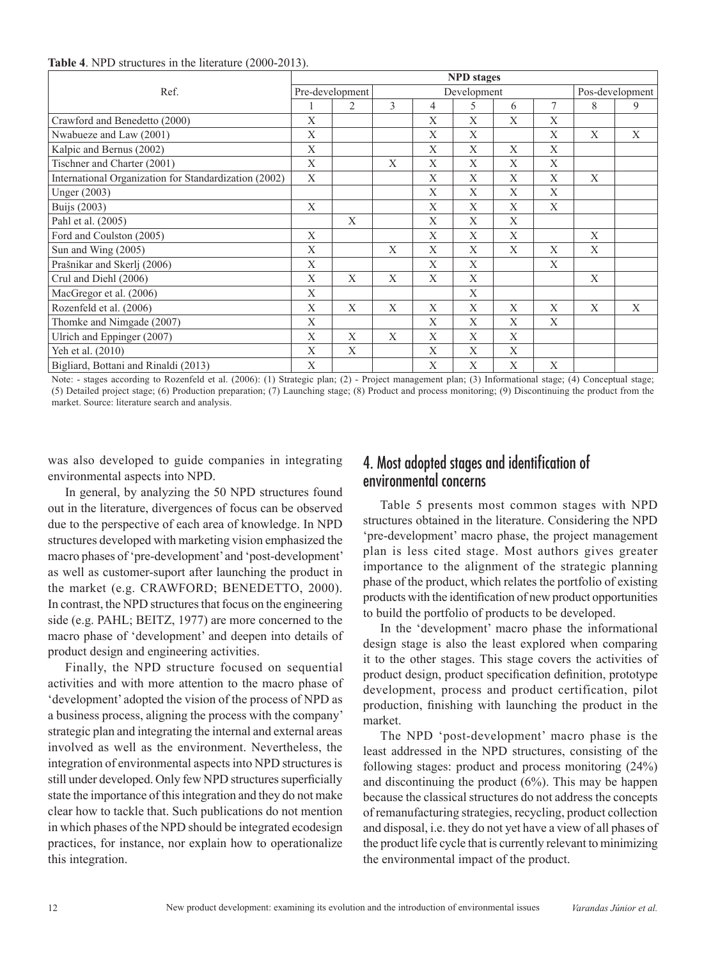#### **Table 4**. NPD structures in the literature (2000-2013).

| Ref.                                                  |   | <b>NPD</b> stages |   |             |   |   |   |                 |   |  |  |
|-------------------------------------------------------|---|-------------------|---|-------------|---|---|---|-----------------|---|--|--|
|                                                       |   | Pre-development   |   | Development |   |   |   | Pos-development |   |  |  |
|                                                       |   | $\overline{c}$    | 3 | 4           | 5 | 6 | 7 | 8               | 9 |  |  |
| Crawford and Benedetto (2000)                         | X |                   |   | X           | X | X | X |                 |   |  |  |
| Nwabueze and Law (2001)                               | X |                   |   | X           | X |   | X | X               | X |  |  |
| Kalpic and Bernus (2002)                              | X |                   |   | X           | X | X | X |                 |   |  |  |
| Tischner and Charter (2001)                           | X |                   | X | X           | X | X | X |                 |   |  |  |
| International Organization for Standardization (2002) | X |                   |   | X           | X | X | X | X               |   |  |  |
| Unger (2003)                                          |   |                   |   | X           | X | X | X |                 |   |  |  |
| <b>Buijs</b> (2003)                                   | X |                   |   | X           | X | X | X |                 |   |  |  |
| Pahl et al. (2005)                                    |   | X                 |   | X           | X | X |   |                 |   |  |  |
| Ford and Coulston (2005)                              | X |                   |   | X           | X | X |   | $\mathbf{X}$    |   |  |  |
| Sun and Wing (2005)                                   | X |                   | X | X           | X | X | X | X               |   |  |  |
| Prašnikar and Skerlj (2006)                           | X |                   |   | X           | X |   | X |                 |   |  |  |
| Crul and Diehl (2006)                                 | X | X                 | X | X           | X |   |   | X               |   |  |  |
| MacGregor et al. (2006)                               |   |                   |   |             | X |   |   |                 |   |  |  |
| Rozenfeld et al. (2006)                               | X | X                 | X | X           | X | X | X | X               | X |  |  |
| Thomke and Nimgade (2007)                             |   |                   |   | X           | X | X | X |                 |   |  |  |
| Ulrich and Eppinger (2007)                            |   | X                 | X | X           | X | X |   |                 |   |  |  |
| Yeh et al. (2010)                                     | X | X                 |   | X           | X | X |   |                 |   |  |  |
| Bigliard, Bottani and Rinaldi (2013)                  | X |                   |   | X           | X | X | X |                 |   |  |  |

Note: - stages according to Rozenfeld et al. (2006): (1) Strategic plan; (2) - Project management plan; (3) Informational stage; (4) Conceptual stage; (5) Detailed project stage; (6) Production preparation; (7) Launching stage; (8) Product and process monitoring; (9) Discontinuing the product from the market. Source: literature search and analysis.

was also developed to guide companies in integrating environmental aspects into NPD.

In general, by analyzing the 50 NPD structures found out in the literature, divergences of focus can be observed due to the perspective of each area of knowledge. In NPD structures developed with marketing vision emphasized the macro phases of 'pre-development' and 'post-development' as well as customer-suport after launching the product in the market (e.g. CRAWFORD; BENEDETTO, 2000). In contrast, the NPD structures that focus on the engineering side (e.g. PAHL; BEITZ, 1977) are more concerned to the macro phase of 'development' and deepen into details of product design and engineering activities.

Finally, the NPD structure focused on sequential activities and with more attention to the macro phase of 'development' adopted the vision of the process of NPD as a business process, aligning the process with the company' strategic plan and integrating the internal and external areas involved as well as the environment. Nevertheless, the integration of environmental aspects into NPD structures is still under developed. Only few NPD structures superficially state the importance of this integration and they do not make clear how to tackle that. Such publications do not mention in which phases of the NPD should be integrated ecodesign practices, for instance, nor explain how to operationalize this integration.

## 4. Most adopted stages and identification of environmental concerns

Table 5 presents most common stages with NPD structures obtained in the literature. Considering the NPD 'pre-development' macro phase, the project management plan is less cited stage. Most authors gives greater importance to the alignment of the strategic planning phase of the product, which relates the portfolio of existing products with the identification of new product opportunities to build the portfolio of products to be developed.

In the 'development' macro phase the informational design stage is also the least explored when comparing it to the other stages. This stage covers the activities of product design, product specification definition, prototype development, process and product certification, pilot production, finishing with launching the product in the market.

The NPD 'post-development' macro phase is the least addressed in the NPD structures, consisting of the following stages: product and process monitoring (24%) and discontinuing the product  $(6\%)$ . This may be happen because the classical structures do not address the concepts of remanufacturing strategies, recycling, product collection and disposal, i.e. they do not yet have a view of all phases of the product life cycle that is currently relevant to minimizing the environmental impact of the product.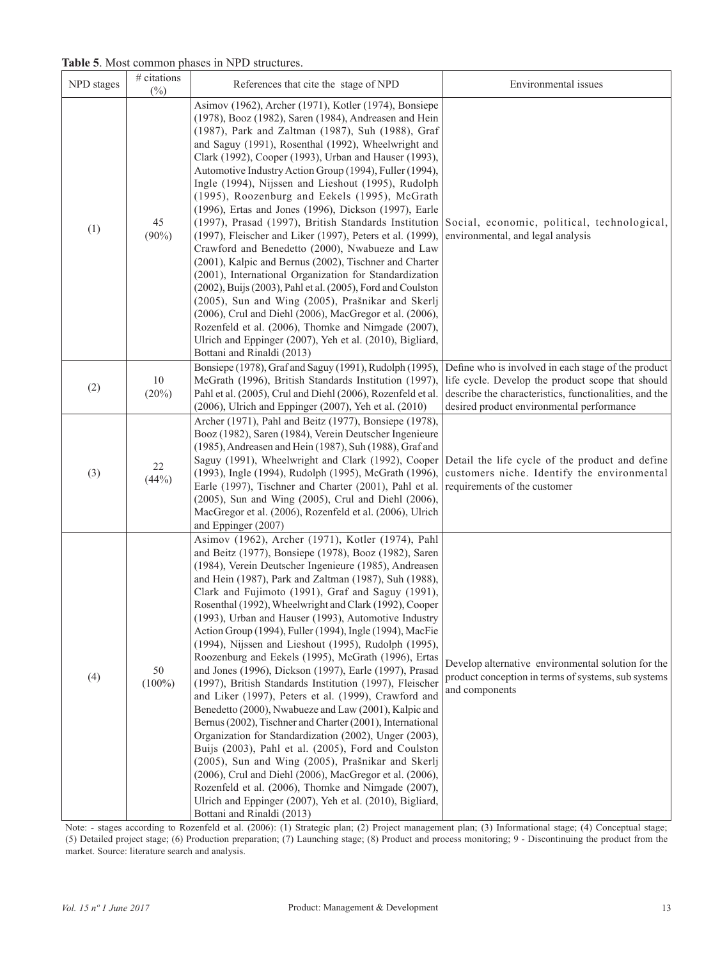**Table 5**. Most common phases in NPD structures.

| NPD stages | # citations<br>$(\%)$ | References that cite the stage of NPD                                                                                                                                                                                                                                                                                                                                                                                                                                                                                                                                                                                                                                                                                                                                                                                                                                                                                                                                                                                                                                                                                                                                                                                                                               | Environmental issues                                                                                                                                                                                            |
|------------|-----------------------|---------------------------------------------------------------------------------------------------------------------------------------------------------------------------------------------------------------------------------------------------------------------------------------------------------------------------------------------------------------------------------------------------------------------------------------------------------------------------------------------------------------------------------------------------------------------------------------------------------------------------------------------------------------------------------------------------------------------------------------------------------------------------------------------------------------------------------------------------------------------------------------------------------------------------------------------------------------------------------------------------------------------------------------------------------------------------------------------------------------------------------------------------------------------------------------------------------------------------------------------------------------------|-----------------------------------------------------------------------------------------------------------------------------------------------------------------------------------------------------------------|
| (1)        | 45<br>$(90\%)$        | Asimov (1962), Archer (1971), Kotler (1974), Bonsiepe<br>(1978), Booz (1982), Saren (1984), Andreasen and Hein<br>(1987), Park and Zaltman (1987), Suh (1988), Graf<br>and Saguy (1991), Rosenthal (1992), Wheelwright and<br>Clark (1992), Cooper (1993), Urban and Hauser (1993),<br>Automotive Industry Action Group (1994), Fuller (1994),<br>Ingle (1994), Nijssen and Lieshout (1995), Rudolph<br>(1995), Roozenburg and Eekels (1995), McGrath<br>(1996), Ertas and Jones (1996), Dickson (1997), Earle<br>(1997), Prasad (1997), British Standards Institution<br>(1997), Fleischer and Liker (1997), Peters et al. (1999),<br>Crawford and Benedetto (2000), Nwabueze and Law<br>(2001), Kalpic and Bernus (2002), Tischner and Charter<br>(2001), International Organization for Standardization<br>(2002), Buijs (2003), Pahl et al. (2005), Ford and Coulston<br>(2005), Sun and Wing (2005), Prašnikar and Skerlj<br>(2006), Crul and Diehl (2006), MacGregor et al. (2006),<br>Rozenfeld et al. (2006), Thomke and Nimgade (2007),<br>Ulrich and Eppinger (2007), Yeh et al. (2010), Bigliard,<br>Bottani and Rinaldi (2013)                                                                                                                          | Social, economic, political, technological,<br>environmental, and legal analysis                                                                                                                                |
| (2)        | $10\,$<br>(20%)       | Bonsiepe (1978), Graf and Saguy (1991), Rudolph (1995),<br>McGrath (1996), British Standards Institution (1997),<br>Pahl et al. (2005), Crul and Diehl (2006), Rozenfeld et al.<br>(2006), Ulrich and Eppinger (2007), Yeh et al. (2010)                                                                                                                                                                                                                                                                                                                                                                                                                                                                                                                                                                                                                                                                                                                                                                                                                                                                                                                                                                                                                            | Define who is involved in each stage of the product<br>life cycle. Develop the product scope that should<br>describe the characteristics, functionalities, and the<br>desired product environmental performance |
| (3)        | 22<br>(44%)           | Archer (1971), Pahl and Beitz (1977), Bonsiepe (1978),<br>Booz (1982), Saren (1984), Verein Deutscher Ingenieure<br>(1985), Andreasen and Hein (1987), Suh (1988), Graf and<br>Saguy (1991), Wheelwright and Clark (1992), Cooper<br>(1993), Ingle (1994), Rudolph (1995), McGrath (1996),<br>Earle (1997), Tischner and Charter (2001), Pahl et al.<br>(2005), Sun and Wing (2005), Crul and Diehl (2006),<br>MacGregor et al. (2006), Rozenfeld et al. (2006), Ulrich<br>and Eppinger (2007)                                                                                                                                                                                                                                                                                                                                                                                                                                                                                                                                                                                                                                                                                                                                                                      | Detail the life cycle of the product and define<br>customers niche. Identify the environmental<br>requirements of the customer                                                                                  |
| (4)        | 50<br>$(100\%)$       | Asimov (1962), Archer (1971), Kotler (1974), Pahl<br>and Beitz (1977), Bonsiepe (1978), Booz (1982), Saren<br>(1984), Verein Deutscher Ingenieure (1985), Andreasen<br>and Hein (1987), Park and Zaltman (1987), Suh (1988),<br>Clark and Fujimoto (1991), Graf and Saguy (1991),<br>Rosenthal (1992), Wheelwright and Clark (1992), Cooper<br>(1993), Urban and Hauser (1993), Automotive Industry<br>Action Group (1994), Fuller (1994), Ingle (1994), MacFie<br>(1994), Nijssen and Lieshout (1995), Rudolph (1995),<br>Roozenburg and Eekels (1995), McGrath (1996), Ertas<br>and Jones (1996), Dickson (1997), Earle (1997), Prasad<br>(1997), British Standards Institution (1997), Fleischer<br>and Liker (1997), Peters et al. (1999), Crawford and<br>Benedetto (2000), Nwabueze and Law (2001), Kalpic and<br>Bernus (2002), Tischner and Charter (2001), International<br>Organization for Standardization (2002), Unger (2003),<br>Buijs (2003), Pahl et al. (2005), Ford and Coulston<br>(2005), Sun and Wing (2005), Prašnikar and Skerlj<br>(2006), Crul and Diehl (2006), MacGregor et al. (2006),<br>Rozenfeld et al. (2006), Thomke and Nimgade (2007),<br>Ulrich and Eppinger (2007), Yeh et al. (2010), Bigliard,<br>Bottani and Rinaldi (2013) | Develop alternative environmental solution for the<br>product conception in terms of systems, sub systems<br>and components                                                                                     |

Note: - stages according to Rozenfeld et al. (2006): (1) Strategic plan; (2) Project management plan; (3) Informational stage; (4) Conceptual stage; (5) Detailed project stage; (6) Production preparation; (7) Launching stage; (8) Product and process monitoring; 9 - Discontinuing the product from the market. Source: literature search and analysis.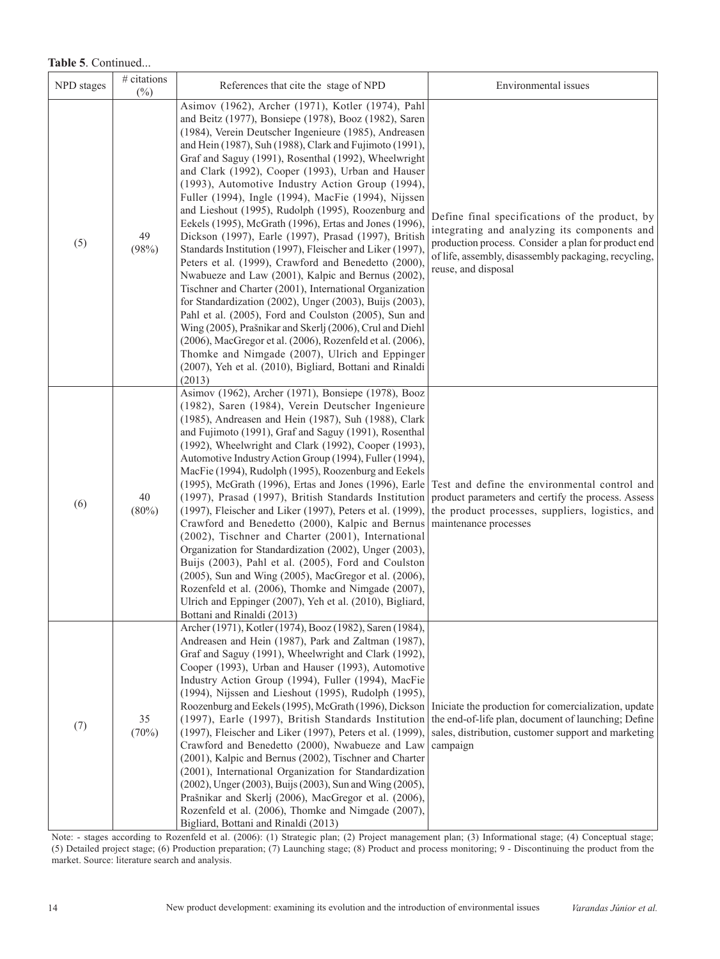### **Table 5**. Continued...

| NPD stages | # citations<br>$(\%)$ | References that cite the stage of NPD                                                                                                                                                                                                                                                                                                                                                                                                                                                                                                                                                                                                                                                                                                                                                                                                                                                                                                                                                                                                                                                                                                                                                                                                      | Environmental issues                                                                                                                                                                                                                 |
|------------|-----------------------|--------------------------------------------------------------------------------------------------------------------------------------------------------------------------------------------------------------------------------------------------------------------------------------------------------------------------------------------------------------------------------------------------------------------------------------------------------------------------------------------------------------------------------------------------------------------------------------------------------------------------------------------------------------------------------------------------------------------------------------------------------------------------------------------------------------------------------------------------------------------------------------------------------------------------------------------------------------------------------------------------------------------------------------------------------------------------------------------------------------------------------------------------------------------------------------------------------------------------------------------|--------------------------------------------------------------------------------------------------------------------------------------------------------------------------------------------------------------------------------------|
| (5)        | 49<br>(98%)           | Asimov (1962), Archer (1971), Kotler (1974), Pahl<br>and Beitz (1977), Bonsiepe (1978), Booz (1982), Saren<br>(1984), Verein Deutscher Ingenieure (1985), Andreasen<br>and Hein (1987), Suh (1988), Clark and Fujimoto (1991),<br>Graf and Saguy (1991), Rosenthal (1992), Wheelwright<br>and Clark (1992), Cooper (1993), Urban and Hauser<br>(1993), Automotive Industry Action Group (1994),<br>Fuller (1994), Ingle (1994), MacFie (1994), Nijssen<br>and Lieshout (1995), Rudolph (1995), Roozenburg and<br>Eekels (1995), McGrath (1996), Ertas and Jones (1996),<br>Dickson (1997), Earle (1997), Prasad (1997), British<br>Standards Institution (1997), Fleischer and Liker (1997),<br>Peters et al. (1999), Crawford and Benedetto (2000),<br>Nwabueze and Law (2001), Kalpic and Bernus (2002),<br>Tischner and Charter (2001), International Organization<br>for Standardization (2002), Unger (2003), Buijs (2003),<br>Pahl et al. (2005), Ford and Coulston (2005), Sun and<br>Wing (2005), Prašnikar and Skerlj (2006), Crul and Diehl<br>(2006), MacGregor et al. (2006), Rozenfeld et al. (2006),<br>Thomke and Nimgade (2007), Ulrich and Eppinger<br>(2007), Yeh et al. (2010), Bigliard, Bottani and Rinaldi<br>(2013) | Define final specifications of the product, by<br>integrating and analyzing its components and<br>production process. Consider a plan for product end<br>of life, assembly, disassembly packaging, recycling,<br>reuse, and disposal |
| (6)        | 40<br>$(80\%)$        | Asimov (1962), Archer (1971), Bonsiepe (1978), Booz<br>(1982), Saren (1984), Verein Deutscher Ingenieure<br>(1985), Andreasen and Hein (1987), Suh (1988), Clark<br>and Fujimoto (1991), Graf and Saguy (1991), Rosenthal<br>(1992), Wheelwright and Clark (1992), Cooper (1993),<br>Automotive Industry Action Group (1994), Fuller (1994),<br>MacFie (1994), Rudolph (1995), Roozenburg and Eekels<br>(1995), McGrath (1996), Ertas and Jones (1996), Earle<br>(1997), Prasad (1997), British Standards Institution<br>(1997), Fleischer and Liker (1997), Peters et al. (1999),<br>Crawford and Benedetto (2000), Kalpic and Bernus<br>(2002), Tischner and Charter (2001), International<br>Organization for Standardization (2002), Unger (2003),<br>Buijs (2003), Pahl et al. (2005), Ford and Coulston<br>(2005), Sun and Wing (2005), MacGregor et al. (2006),<br>Rozenfeld et al. (2006), Thomke and Nimgade (2007),<br>Ulrich and Eppinger (2007), Yeh et al. (2010), Bigliard,<br>Bottani and Rinaldi (2013)                                                                                                                                                                                                                    | Test and define the environmental control and<br>product parameters and certify the process. Assess<br>the product processes, suppliers, logistics, and<br>maintenance processes                                                     |
| (7)        | 35<br>(70%)           | Archer (1971), Kotler (1974), Booz (1982), Saren (1984),<br>Andreasen and Hein (1987), Park and Zaltman (1987),<br>Graf and Saguy (1991), Wheelwright and Clark (1992),<br>Cooper (1993), Urban and Hauser (1993), Automotive<br>Industry Action Group (1994), Fuller (1994), MacFie<br>(1994), Nijssen and Lieshout (1995), Rudolph (1995),<br>Roozenburg and Eekels (1995), McGrath (1996), Dickson<br>(1997), Earle (1997), British Standards Institution<br>(1997), Fleischer and Liker (1997), Peters et al. (1999),<br>Crawford and Benedetto (2000), Nwabueze and Law<br>(2001), Kalpic and Bernus (2002), Tischner and Charter<br>(2001), International Organization for Standardization<br>(2002), Unger (2003), Buijs (2003), Sun and Wing (2005),<br>Prašnikar and Skerlj (2006), MacGregor et al. (2006),<br>Rozenfeld et al. (2006), Thomke and Nimgade (2007),<br>Bigliard, Bottani and Rinaldi (2013)                                                                                                                                                                                                                                                                                                                       | Iniciate the production for comercialization, update<br>the end-of-life plan, document of launching; Define<br>sales, distribution, customer support and marketing<br>campaign                                                       |

Note: - stages according to Rozenfeld et al. (2006): (1) Strategic plan; (2) Project management plan; (3) Informational stage; (4) Conceptual stage; (5) Detailed project stage; (6) Production preparation; (7) Launching stage; (8) Product and process monitoring; 9 - Discontinuing the product from the market. Source: literature search and analysis.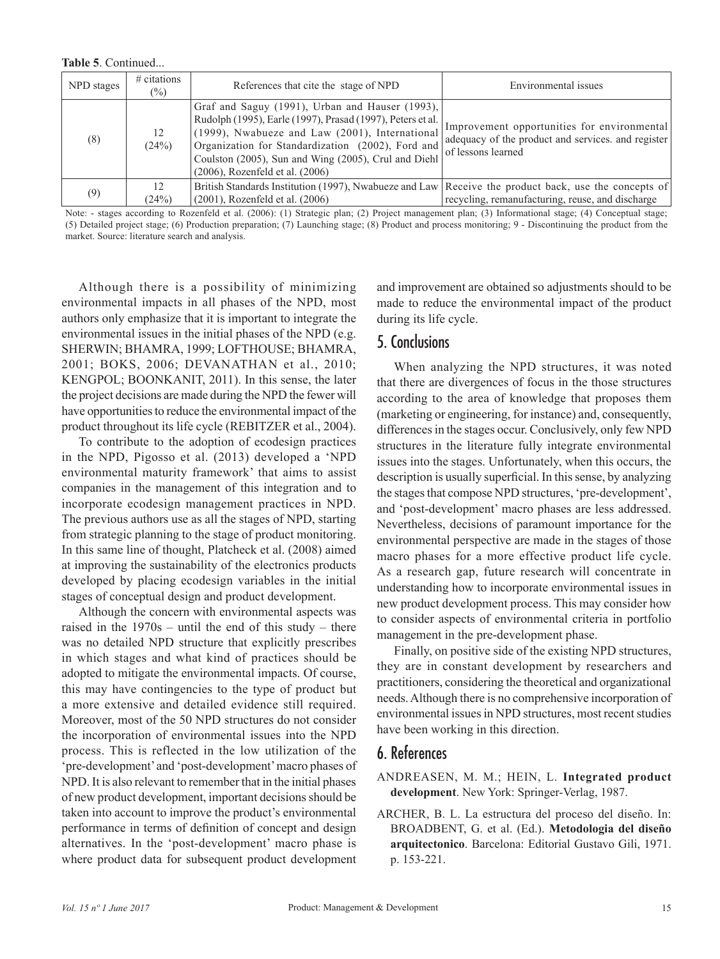**Table 5**. Continued...

| NPD stages | $#$ citations<br>$(\%)$ | References that cite the stage of NPD                                                                                                                                                                                                                                                                                | Environmental issues                                                                                                    |
|------------|-------------------------|----------------------------------------------------------------------------------------------------------------------------------------------------------------------------------------------------------------------------------------------------------------------------------------------------------------------|-------------------------------------------------------------------------------------------------------------------------|
| (8)        | 12<br>(24%)             | Graf and Saguy (1991), Urban and Hauser (1993),<br>Rudolph (1995), Earle (1997), Prasad (1997), Peters et al.<br>(1999), Nwabueze and Law (2001), International<br>Organization for Standardization (2002), Ford and<br>Coulston (2005), Sun and Wing (2005), Crul and Diehl<br>$(2006)$ , Rozenfeld et al. $(2006)$ | Improvement opportunities for environmental<br>adequacy of the product and services, and register<br>of lessons learned |
| (9)        | 12.<br>(24%)            | British Standards Institution (1997), Nwabueze and Law Receive the product back, use the concepts of<br>$(2001)$ , Rozenfeld et al. $(2006)$                                                                                                                                                                         | recycling, remanufacturing, reuse, and discharge                                                                        |

Note: - stages according to Rozenfeld et al. (2006): (1) Strategic plan; (2) Project management plan; (3) Informational stage; (4) Conceptual stage; (5) Detailed project stage; (6) Production preparation; (7) Launching stage; (8) Product and process monitoring; 9 - Discontinuing the product from the market. Source: literature search and analysis.

Although there is a possibility of minimizing environmental impacts in all phases of the NPD, most authors only emphasize that it is important to integrate the environmental issues in the initial phases of the NPD (e.g. SHERWIN; BHAMRA, 1999; LOFTHOUSE; BHAMRA, 2001; BOKS, 2006; DEVANATHAN et al., 2010; KENGPOL; BOONKANIT, 2011). In this sense, the later the project decisions are made during the NPD the fewer will have opportunities to reduce the environmental impact of the product throughout its life cycle (REBITZER et al., 2004).

To contribute to the adoption of ecodesign practices in the NPD, Pigosso et al. (2013) developed a 'NPD environmental maturity framework' that aims to assist companies in the management of this integration and to incorporate ecodesign management practices in NPD. The previous authors use as all the stages of NPD, starting from strategic planning to the stage of product monitoring. In this same line of thought, Platcheck et al. (2008) aimed at improving the sustainability of the electronics products developed by placing ecodesign variables in the initial stages of conceptual design and product development.

Although the concern with environmental aspects was raised in the 1970s – until the end of this study – there was no detailed NPD structure that explicitly prescribes in which stages and what kind of practices should be adopted to mitigate the environmental impacts. Of course, this may have contingencies to the type of product but a more extensive and detailed evidence still required. Moreover, most of the 50 NPD structures do not consider the incorporation of environmental issues into the NPD process. This is reflected in the low utilization of the 'pre-development' and 'post-development' macro phases of NPD. It is also relevant to remember that in the initial phases of new product development, important decisions should be taken into account to improve the product's environmental performance in terms of definition of concept and design alternatives. In the 'post-development' macro phase is where product data for subsequent product development and improvement are obtained so adjustments should to be made to reduce the environmental impact of the product during its life cycle.

## 5. Conclusions

When analyzing the NPD structures, it was noted that there are divergences of focus in the those structures according to the area of knowledge that proposes them (marketing or engineering, for instance) and, consequently, differences in the stages occur. Conclusively, only few NPD structures in the literature fully integrate environmental issues into the stages. Unfortunately, when this occurs, the description is usually superficial. In this sense, by analyzing the stages that compose NPD structures, 'pre-development', and 'post-development' macro phases are less addressed. Nevertheless, decisions of paramount importance for the environmental perspective are made in the stages of those macro phases for a more effective product life cycle. As a research gap, future research will concentrate in understanding how to incorporate environmental issues in new product development process. This may consider how to consider aspects of environmental criteria in portfolio management in the pre-development phase.

Finally, on positive side of the existing NPD structures, they are in constant development by researchers and practitioners, considering the theoretical and organizational needs. Although there is no comprehensive incorporation of environmental issues in NPD structures, most recent studies have been working in this direction.

## 6. References

- ANDREASEN, M. M.; HEIN, L. **Integrated product development**. New York: Springer-Verlag, 1987.
- ARCHER, B. L. La estructura del proceso del diseño. In: BROADBENT, G. et al. (Ed.). **Metodologia del diseño arquitectonico**. Barcelona: Editorial Gustavo Gili, 1971. p. 153-221.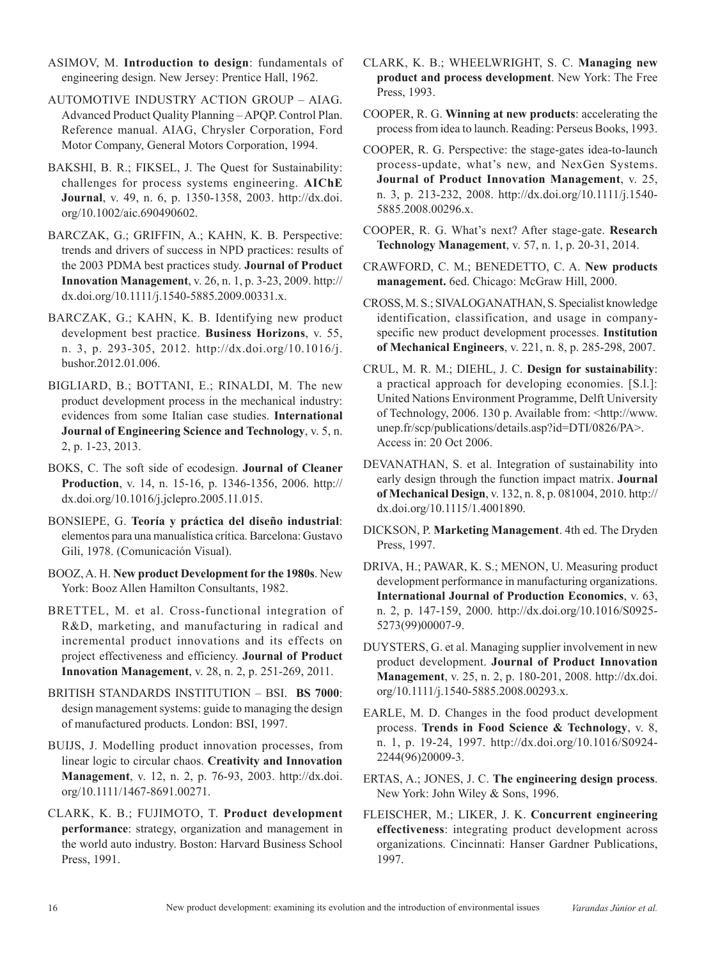- ASIMOV, M. **Introduction to design**: fundamentals of engineering design. New Jersey: Prentice Hall, 1962.
- AUTOMOTIVE INDUSTRY ACTION GROUP AIAG. Advanced Product Quality Planning – APQP. Control Plan. Reference manual. AIAG, Chrysler Corporation, Ford Motor Company, General Motors Corporation, 1994.
- BAKSHI, B. R.; FIKSEL, J. The Quest for Sustainability: challenges for process systems engineering. **AIChE Journal**, v. 49, n. 6, p. 1350-1358, 2003. [http://dx.doi.](http://dx.doi.org/10.1002/aic.690490602) [org/10.1002/aic.690490602](http://dx.doi.org/10.1002/aic.690490602).
- BARCZAK, G.; GRIFFIN, A.; KAHN, K. B. Perspective: trends and drivers of success in NPD practices: results of the 2003 PDMA best practices study. **Journal of Product Innovation Management**, v. 26, n. 1, p. 3-23, 2009. [http://](http://dx.doi.org/10.1111/j.1540-5885.2009.00331.x) [dx.doi.org/10.1111/j.1540-5885.2009.00331.x](http://dx.doi.org/10.1111/j.1540-5885.2009.00331.x).
- BARCZAK, G.; KAHN, K. B. Identifying new product development best practice. **Business Horizons**, v. 55, n. 3, p. 293-305, 2012. [http://dx.doi.org/10.1016/j.](http://dx.doi.org/10.1016/j.bushor.2012.01.006) [bushor.2012.01.006](http://dx.doi.org/10.1016/j.bushor.2012.01.006).
- BIGLIARD, B.; BOTTANI, E.; RINALDI, M. The new product development process in the mechanical industry: evidences from some Italian case studies. **International Journal of Engineering Science and Technology**, v. 5, n. 2, p. 1-23, 2013.
- BOKS, C. The soft side of ecodesign. **Journal of Cleaner Production**, v. 14, n. 15-16, p. 1346-1356, 2006. [http://](http://dx.doi.org/10.1016/j.jclepro.2005.11.015) [dx.doi.org/10.1016/j.jclepro.2005.11.015](http://dx.doi.org/10.1016/j.jclepro.2005.11.015).
- BONSIEPE, G. **Teoría y práctica del diseño industrial**: elementos para una manualística crítica. Barcelona: Gustavo Gili, 1978. (Comunicación Visual).
- BOOZ, A. H. **New product Development for the 1980s**. New York: Booz Allen Hamilton Consultants, 1982.
- BRETTEL, M. et al. Cross-functional integration of R&D, marketing, and manufacturing in radical and incremental product innovations and its effects on project effectiveness and efficiency. **Journal of Product Innovation Management**, v. 28, n. 2, p. 251-269, 2011.
- BRITISH STANDARDS INSTITUTION BSI. **BS 7000**: design management systems: guide to managing the design of manufactured products. London: BSI, 1997.
- BUIJS, J. Modelling product innovation processes, from linear logic to circular chaos. **Creativity and Innovation Management**, v. 12, n. 2, p. 76-93, 2003. [http://dx.doi.](http://dx.doi.org/10.1111/1467-8691.00271) [org/10.1111/1467-8691.00271.](http://dx.doi.org/10.1111/1467-8691.00271)
- CLARK, K. B.; FUJIMOTO, T. **Product development performance**: strategy, organization and management in the world auto industry. Boston: Harvard Business School Press, 1991.
- CLARK, K. B.; WHEELWRIGHT, S. C. **Managing new product and process development**. New York: The Free Press, 1993.
- COOPER, R. G. **Winning at new products**: accelerating the process from idea to launch. Reading: Perseus Books, 1993.
- COOPER, R. G. Perspective: the stage-gates idea-to-launch process-update, what's new, and NexGen Systems. **Journal of Product Innovation Management**, v. 25, n. 3, p. 213-232, 2008. [http://dx.doi.org/10.1111/j.1540-](http://dx.doi.org/10.1111/j.1540-5885.2008.00296.x) [5885.2008.00296.x](http://dx.doi.org/10.1111/j.1540-5885.2008.00296.x).
- COOPER, R. G. What's next? After stage-gate. **Research Technology Management**, v. 57, n. 1, p. 20-31, 2014.
- CRAWFORD, C. M.; BENEDETTO, C. A. **New products management.** 6ed. Chicago: McGraw Hill, 2000.
- CROSS, M. S.; SIVALOGANATHAN, S. Specialist knowledge identification, classification, and usage in companyspecific new product development processes. **Institution of Mechanical Engineers**, v. 221, n. 8, p. 285-298, 2007.
- CRUL, M. R. M.; DIEHL, J. C. **Design for sustainability**: a practical approach for developing economies. [S.l.]: United Nations Environment Programme, Delft University of Technology, 2006. 130 p. Available from: <http://www. unep.fr/scp/publications/details.asp?id=DTI/0826/PA>. Access in: 20 Oct 2006.
- DEVANATHAN, S. et al. Integration of sustainability into early design through the function impact matrix. **Journal of Mechanical Design**, v. 132, n. 8, p. 081004, 2010. [http://](http://dx.doi.org/10.1115/1.4001890) [dx.doi.org/10.1115/1.4001890.](http://dx.doi.org/10.1115/1.4001890)
- DICKSON, P. **Marketing Management**. 4th ed. The Dryden Press, 1997.
- DRIVA, H.; PAWAR, K. S.; MENON, U. Measuring product development performance in manufacturing organizations. **International Journal of Production Economics**, v. 63, n. 2, p. 147-159, 2000. [http://dx.doi.org/10.1016/S0925-](http://dx.doi.org/10.1016/S0925-5273(99)00007-9) [5273\(99\)00007-9.](http://dx.doi.org/10.1016/S0925-5273(99)00007-9)
- DUYSTERS, G. et al. Managing supplier involvement in new product development. **Journal of Product Innovation Management**, v. 25, n. 2, p. 180-201, 2008. [http://dx.doi.](http://dx.doi.org/10.1111/j.1540-5885.2008.00293.x) [org/10.1111/j.1540-5885.2008.00293.x](http://dx.doi.org/10.1111/j.1540-5885.2008.00293.x).
- EARLE, M. D. Changes in the food product development process. **Trends in Food Science & Technology**, v. 8, n. 1, p. 19-24, 1997. [http://dx.doi.org/10.1016/S0924-](http://dx.doi.org/10.1016/S0924-2244(96)20009-3) [2244\(96\)20009-3.](http://dx.doi.org/10.1016/S0924-2244(96)20009-3)
- ERTAS, A.; JONES, J. C. **The engineering design process**. New York: John Wiley & Sons, 1996.
- FLEISCHER, M.; LIKER, J. K. **Concurrent engineering effectiveness**: integrating product development across organizations. Cincinnati: Hanser Gardner Publications, 1997.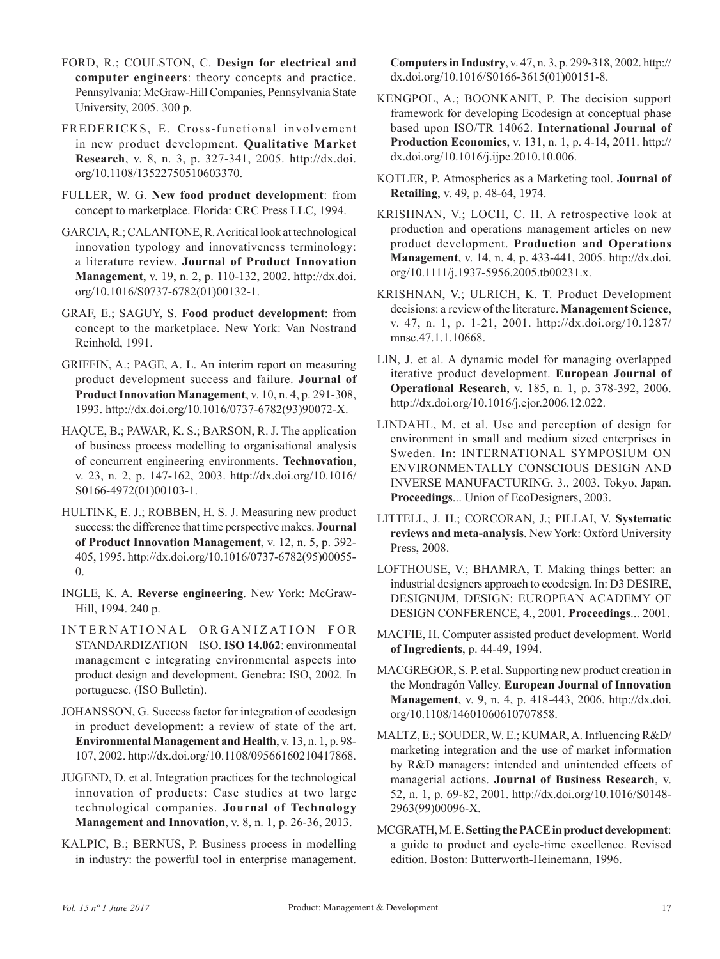- FORD, R.; COULSTON, C. **Design for electrical and computer engineers**: theory concepts and practice. Pennsylvania: McGraw-Hill Companies, Pennsylvania State University, 2005. 300 p.
- FREDERICKS, E. Cross-functional involvement in new product development. **Qualitative Market Research**, v. 8, n. 3, p. 327-341, 2005. [http://dx.doi.](http://dx.doi.org/10.1108/13522750510603370) [org/10.1108/13522750510603370](http://dx.doi.org/10.1108/13522750510603370).
- FULLER, W. G. **New food product development**: from concept to marketplace. Florida: CRC Press LLC, 1994.
- GARCIA, R.; CALANTONE, R. A critical look at technological innovation typology and innovativeness terminology: a literature review. **Journal of Product Innovation Management**, v. 19, n. 2, p. 110-132, 2002. [http://dx.doi.](http://dx.doi.org/10.1016/S0737-6782(01)00132-1) [org/10.1016/S0737-6782\(01\)00132-1](http://dx.doi.org/10.1016/S0737-6782(01)00132-1).
- GRAF, E.; SAGUY, S. **Food product development**: from concept to the marketplace. New York: Van Nostrand Reinhold, 1991.
- GRIFFIN, A.; PAGE, A. L. An interim report on measuring product development success and failure. **Journal of Product Innovation Management**, v. 10, n. 4, p. 291-308, 1993. [http://dx.doi.org/10.1016/0737-6782\(93\)90072-X.](http://dx.doi.org/10.1016/0737-6782(93)90072-X)
- HAQUE, B.; PAWAR, K. S.; BARSON, R. J. The application of business process modelling to organisational analysis of concurrent engineering environments. **Technovation**, v. 23, n. 2, p. 147-162, 2003. [http://dx.doi.org/10.1016/](http://dx.doi.org/10.1016/S0166-4972(01)00103-1) [S0166-4972\(01\)00103-1](http://dx.doi.org/10.1016/S0166-4972(01)00103-1).
- HULTINK, E. J.; ROBBEN, H. S. J. Measuring new product success: the difference that time perspective makes. **Journal of Product Innovation Management**, v. 12, n. 5, p. 392- 405, 1995. [http://dx.doi.org/10.1016/0737-6782\(95\)00055-](http://dx.doi.org/10.1016/0737-6782(95)00055-0) [0](http://dx.doi.org/10.1016/0737-6782(95)00055-0).
- INGLE, K. A. **Reverse engineering**. New York: McGraw-Hill, 1994. 240 p.
- INTERNATIONAL ORGANIZATION FOR STANDARDIZATION – ISO. **ISO 14.062**: environmental management e integrating environmental aspects into product design and development. Genebra: ISO, 2002. In portuguese. (ISO Bulletin).
- JOHANSSON, G. Success factor for integration of ecodesign in product development: a review of state of the art. **Environmental Management and Health**, v. 13, n. 1, p. 98- 107, 2002.<http://dx.doi.org/10.1108/09566160210417868>.
- JUGEND, D. et al. Integration practices for the technological innovation of products: Case studies at two large technological companies. **Journal of Technology Management and Innovation**, v. 8, n. 1, p. 26-36, 2013.
- KALPIC, B.; BERNUS, P. Business process in modelling in industry: the powerful tool in enterprise management.

**Computers in Industry**, v. 47, n. 3, p. 299-318, 2002. [http://](http://dx.doi.org/10.1016/S0166-3615(01)00151-8) [dx.doi.org/10.1016/S0166-3615\(01\)00151-8](http://dx.doi.org/10.1016/S0166-3615(01)00151-8).

- KENGPOL, A.; BOONKANIT, P. The decision support framework for developing Ecodesign at conceptual phase based upon ISO/TR 14062. **International Journal of Production Economics**, v. 131, n. 1, p. 4-14, 2011. [http://](http://dx.doi.org/10.1016/j.ijpe.2010.10.006) [dx.doi.org/10.1016/j.ijpe.2010.10.006.](http://dx.doi.org/10.1016/j.ijpe.2010.10.006)
- KOTLER, P. Atmospherics as a Marketing tool. **Journal of Retailing**, v. 49, p. 48-64, 1974.
- KRISHNAN, V.; LOCH, C. H. A retrospective look at production and operations management articles on new product development. **Production and Operations Management**, v. 14, n. 4, p. 433-441, 2005. [http://dx.doi.](http://dx.doi.org/10.1111/j.1937-5956.2005.tb00231.x) [org/10.1111/j.1937-5956.2005.tb00231.x](http://dx.doi.org/10.1111/j.1937-5956.2005.tb00231.x).
- KRISHNAN, V.; ULRICH, K. T. Product Development decisions: a review of the literature. **Management Science**, v. 47, n. 1, p. 1-21, 2001. [http://dx.doi.org/10.1287/](http://dx.doi.org/10.1287/mnsc.47.1.1.10668) [mnsc.47.1.1.10668](http://dx.doi.org/10.1287/mnsc.47.1.1.10668).
- LIN, J. et al. A dynamic model for managing overlapped iterative product development. **European Journal of Operational Research**, v. 185, n. 1, p. 378-392, 2006. [http://dx.doi.org/10.1016/j.ejor.2006.12.022.](http://dx.doi.org/10.1016/j.ejor.2006.12.022)
- LINDAHL, M. et al. Use and perception of design for environment in small and medium sized enterprises in Sweden. In: INTERNATIONAL SYMPOSIUM ON ENVIRONMENTALLY CONSCIOUS DESIGN AND INVERSE MANUFACTURING, 3., 2003, Tokyo, Japan. **Proceedings**... Union of EcoDesigners, 2003.
- LITTELL, J. H.; CORCORAN, J.; PILLAI, V. **Systematic reviews and meta-analysis**. New York: Oxford University Press, 2008.
- LOFTHOUSE, V.; BHAMRA, T. Making things better: an industrial designers approach to ecodesign. In: D3 DESIRE, DESIGNUM, DESIGN: EUROPEAN ACADEMY OF DESIGN CONFERENCE, 4., 2001. **Proceedings**... 2001.
- MACFIE, H. Computer assisted product development. World **of Ingredients**, p. 44-49, 1994.
- MACGREGOR, S. P. et al. Supporting new product creation in the Mondragón Valley. **European Journal of Innovation Management**, v. 9, n. 4, p. 418-443, 2006. [http://dx.doi.](http://dx.doi.org/10.1108/14601060610707858) [org/10.1108/14601060610707858.](http://dx.doi.org/10.1108/14601060610707858)
- MALTZ, E.; SOUDER, W. E.; KUMAR, A. Influencing R&D/ marketing integration and the use of market information by R&D managers: intended and unintended effects of managerial actions. **Journal of Business Research**, v. 52, n. 1, p. 69-82, 2001. [http://dx.doi.org/10.1016/S0148-](http://dx.doi.org/10.1016/S0148-2963(99)00096-X) [2963\(99\)00096-X](http://dx.doi.org/10.1016/S0148-2963(99)00096-X).
- MCGRATH, M. E. **Setting the PACE in product development**: a guide to product and cycle-time excellence. Revised edition. Boston: Butterworth-Heinemann, 1996.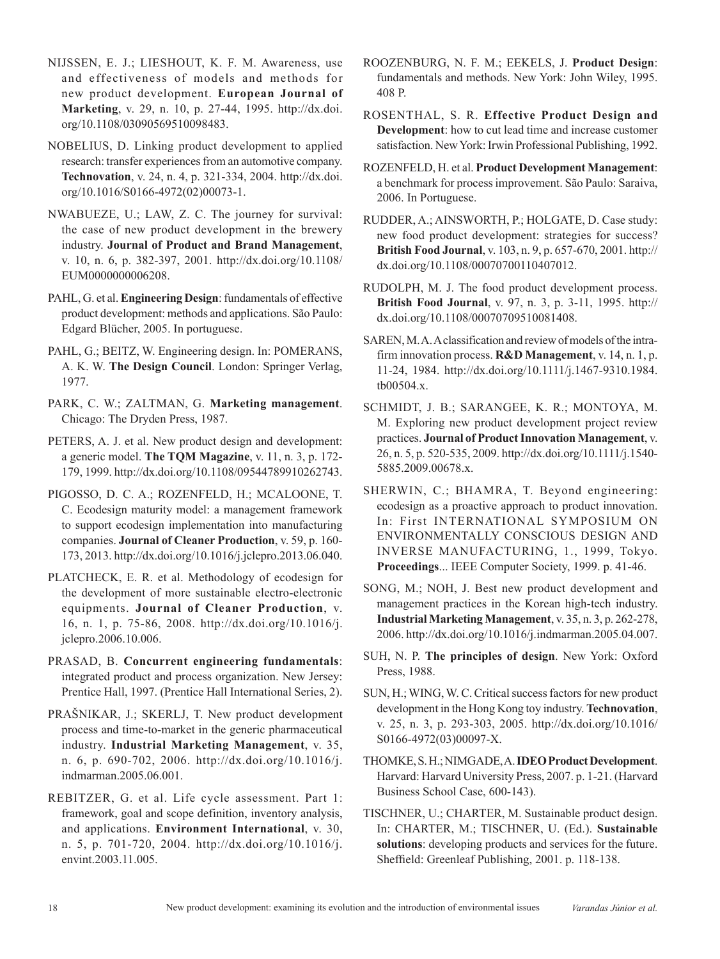- NIJSSEN, E. J.; LIESHOUT, K. F. M. Awareness, use and effectiveness of models and methods for new product development. **European Journal of Marketing**, v. 29, n. 10, p. 27-44, 1995. [http://dx.doi.](http://dx.doi.org/10.1108/03090569510098483) [org/10.1108/03090569510098483.](http://dx.doi.org/10.1108/03090569510098483)
- NOBELIUS, D. Linking product development to applied research: transfer experiences from an automotive company. **Technovation**, v. 24, n. 4, p. 321-334, 2004. [http://dx.doi.](http://dx.doi.org/10.1016/S0166-4972(02)00073-1) [org/10.1016/S0166-4972\(02\)00073-1](http://dx.doi.org/10.1016/S0166-4972(02)00073-1).
- NWABUEZE, U.; LAW, Z. C. The journey for survival: the case of new product development in the brewery industry. **Journal of Product and Brand Management**, v. 10, n. 6, p. 382-397, 2001. [http://dx.doi.org/10.1108/](http://dx.doi.org/10.1108/EUM0000000006208) [EUM0000000006208](http://dx.doi.org/10.1108/EUM0000000006208).
- PAHL, G. et al. **Engineering Design**: fundamentals of effective product development: methods and applications. São Paulo: Edgard Blücher, 2005. In portuguese.
- PAHL, G.; BEITZ, W. Engineering design. In: POMERANS, A. K. W. **The Design Council**. London: Springer Verlag, 1977.
- PARK, C. W.; ZALTMAN, G. **Marketing management**. Chicago: The Dryden Press, 1987.
- PETERS, A. J. et al. New product design and development: a generic model. **The TQM Magazine**, v. 11, n. 3, p. 172- 179, 1999. [http://dx.doi.org/10.1108/09544789910262743.](http://dx.doi.org/10.1108/09544789910262743)
- PIGOSSO, D. C. A.; ROZENFELD, H.; MCALOONE, T. C. Ecodesign maturity model: a management framework to support ecodesign implementation into manufacturing companies. **Journal of Cleaner Production**, v. 59, p. 160- 173, 2013. [http://dx.doi.org/10.1016/j.jclepro.2013.06.040.](http://dx.doi.org/10.1016/j.jclepro.2013.06.040)
- PLATCHECK, E. R. et al. Methodology of ecodesign for the development of more sustainable electro-electronic equipments. **Journal of Cleaner Production**, v. 16, n. 1, p. 75-86, 2008. [http://dx.doi.org/10.1016/j.](http://dx.doi.org/10.1016/j.jclepro.2006.10.006) [jclepro.2006.10.006](http://dx.doi.org/10.1016/j.jclepro.2006.10.006).
- PRASAD, B. **Concurrent engineering fundamentals**: integrated product and process organization. New Jersey: Prentice Hall, 1997. (Prentice Hall International Series, 2).
- PRAŠNIKAR, J.; SKERLJ, T. New product development process and time-to-market in the generic pharmaceutical industry. **Industrial Marketing Management**, v. 35, n. 6, p. 690-702, 2006. [http://dx.doi.org/10.1016/j.](http://dx.doi.org/10.1016/j.indmarman.2005.06.001) [indmarman.2005.06.001](http://dx.doi.org/10.1016/j.indmarman.2005.06.001).
- REBITZER, G. et al. Life cycle assessment. Part 1: framework, goal and scope definition, inventory analysis, and applications. **Environment International**, v. 30, n. 5, p. 701-720, 2004. [http://dx.doi.org/10.1016/j.](http://dx.doi.org/10.1016/j.envint.2003.11.005) [envint.2003.11.005](http://dx.doi.org/10.1016/j.envint.2003.11.005).
- ROOZENBURG, N. F. M.; EEKELS, J. **Product Design**: fundamentals and methods. New York: John Wiley, 1995. 408 P.
- ROSENTHAL, S. R. **Effective Product Design and Development**: how to cut lead time and increase customer satisfaction. New York: Irwin Professional Publishing, 1992.
- ROZENFELD, H. et al. **Product Development Management**: a benchmark for process improvement. São Paulo: Saraiva, 2006. In Portuguese.
- RUDDER, A.; AINSWORTH, P.; HOLGATE, D. Case study: new food product development: strategies for success? **British Food Journal**, v. 103, n. 9, p. 657-670, 2001. [http://](http://dx.doi.org/10.1108/00070700110407012) [dx.doi.org/10.1108/00070700110407012](http://dx.doi.org/10.1108/00070700110407012).
- RUDOLPH, M. J. The food product development process. **British Food Journal**, v. 97, n. 3, p. 3-11, 1995. [http://](http://dx.doi.org/10.1108/00070709510081408) [dx.doi.org/10.1108/00070709510081408](http://dx.doi.org/10.1108/00070709510081408).
- SAREN, M. A. A classification and review of models of the intrafirm innovation process. **R&D Management**, v. 14, n. 1, p. 11-24, 1984. [http://dx.doi.org/10.1111/j.1467-9310.1984.](http://dx.doi.org/10.1111/j.1467-9310.1984.tb00504.x) [tb00504.x](http://dx.doi.org/10.1111/j.1467-9310.1984.tb00504.x).
- SCHMIDT, J. B.; SARANGEE, K. R.; MONTOYA, M. M. Exploring new product development project review practices. **Journal of Product Innovation Management**, v. 26, n. 5, p. 520-535, 2009. [http://dx.doi.org/10.1111/j.1540-](http://dx.doi.org/10.1111/j.1540-5885.2009.00678.x) [5885.2009.00678.x](http://dx.doi.org/10.1111/j.1540-5885.2009.00678.x).
- SHERWIN, C.; BHAMRA, T. Beyond engineering: ecodesign as a proactive approach to product innovation. In: First INTERNATIONAL SYMPOSIUM ON ENVIRONMENTALLY CONSCIOUS DESIGN AND INVERSE MANUFACTURING, 1., 1999, Tokyo. **Proceedings**... IEEE Computer Society, 1999. p. 41-46.
- SONG, M.; NOH, J. Best new product development and management practices in the Korean high-tech industry. **Industrial Marketing Management**, v. 35, n. 3, p. 262-278, 2006. [http://dx.doi.org/10.1016/j.indmarman.2005.04.007.](http://dx.doi.org/10.1016/j.indmarman.2005.04.007)
- SUH, N. P. **The principles of design**. New York: Oxford Press, 1988.
- SUN, H.; WING, W. C. Critical success factors for new product development in the Hong Kong toy industry. **Technovation**, v. 25, n. 3, p. 293-303, 2005. [http://dx.doi.org/10.1016/](http://dx.doi.org/10.1016/S0166-4972(03)00097-X) [S0166-4972\(03\)00097-X.](http://dx.doi.org/10.1016/S0166-4972(03)00097-X)
- THOMKE, S. H.; NIMGADE, A. **IDEO Product Development**. Harvard: Harvard University Press, 2007. p. 1-21. (Harvard Business School Case, 600-143).
- TISCHNER, U.; CHARTER, M. Sustainable product design. In: CHARTER, M.; TISCHNER, U. (Ed.). **Sustainable solutions**: developing products and services for the future. Sheffield: Greenleaf Publishing, 2001. p. 118-138.